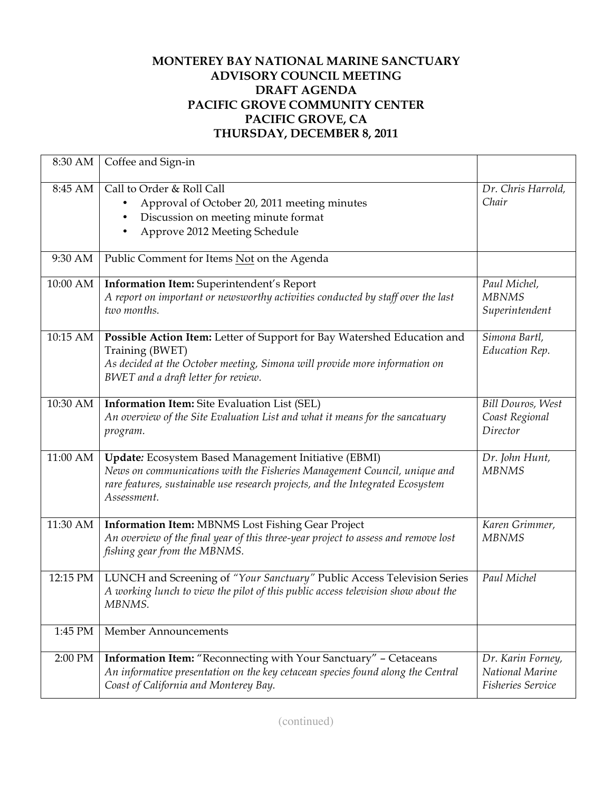## **MONTEREY BAY NATIONAL MARINE SANCTUARY ADVISORY COUNCIL MEETING DRAFT AGENDA PACIFIC GROVE COMMUNITY CENTER PACIFIC GROVE, CA THURSDAY, DECEMBER 8, 2011**

| 8:30 AM  | Coffee and Sign-in                                                                                                                                                                                                                |                                                           |
|----------|-----------------------------------------------------------------------------------------------------------------------------------------------------------------------------------------------------------------------------------|-----------------------------------------------------------|
| 8:45 AM  | Call to Order & Roll Call<br>Approval of October 20, 2011 meeting minutes<br>Discussion on meeting minute format<br>$\bullet$<br>Approve 2012 Meeting Schedule                                                                    | Dr. Chris Harrold,<br>Chair                               |
| 9:30 AM  | Public Comment for Items Not on the Agenda                                                                                                                                                                                        |                                                           |
| 10:00 AM | Information Item: Superintendent's Report<br>A report on important or newsworthy activities conducted by staff over the last<br>two months.                                                                                       | Paul Michel,<br><b>MBNMS</b><br>Superintendent            |
| 10:15 AM | Possible Action Item: Letter of Support for Bay Watershed Education and<br>Training (BWET)<br>As decided at the October meeting, Simona will provide more information on<br>BWET and a draft letter for review.                   | Simona Bartl,<br>Education Rep.                           |
| 10:30 AM | Information Item: Site Evaluation List (SEL)<br>An overview of the Site Evaluation List and what it means for the sancatuary<br>program.                                                                                          | <b>Bill Douros, West</b><br>Coast Regional<br>Director    |
| 11:00 AM | Update: Ecosystem Based Management Initiative (EBMI)<br>News on communications with the Fisheries Management Council, unique and<br>rare features, sustainable use research projects, and the Integrated Ecosystem<br>Assessment. | Dr. John Hunt,<br><b>MBNMS</b>                            |
| 11:30 AM | <b>Information Item: MBNMS Lost Fishing Gear Project</b><br>An overview of the final year of this three-year project to assess and remove lost<br>fishing gear from the MBNMS.                                                    | Karen Grimmer,<br><b>MBNMS</b>                            |
| 12:15 PM | LUNCH and Screening of "Your Sanctuary" Public Access Television Series<br>A working lunch to view the pilot of this public access television show about the<br>MBNMS.                                                            | Paul Michel                                               |
| 1:45 PM  | <b>Member Announcements</b>                                                                                                                                                                                                       |                                                           |
| 2:00 PM  | Information Item: "Reconnecting with Your Sanctuary" - Cetaceans<br>An informative presentation on the key cetacean species found along the Central<br>Coast of California and Monterey Bay.                                      | Dr. Karin Forney,<br>National Marine<br>Fisheries Service |